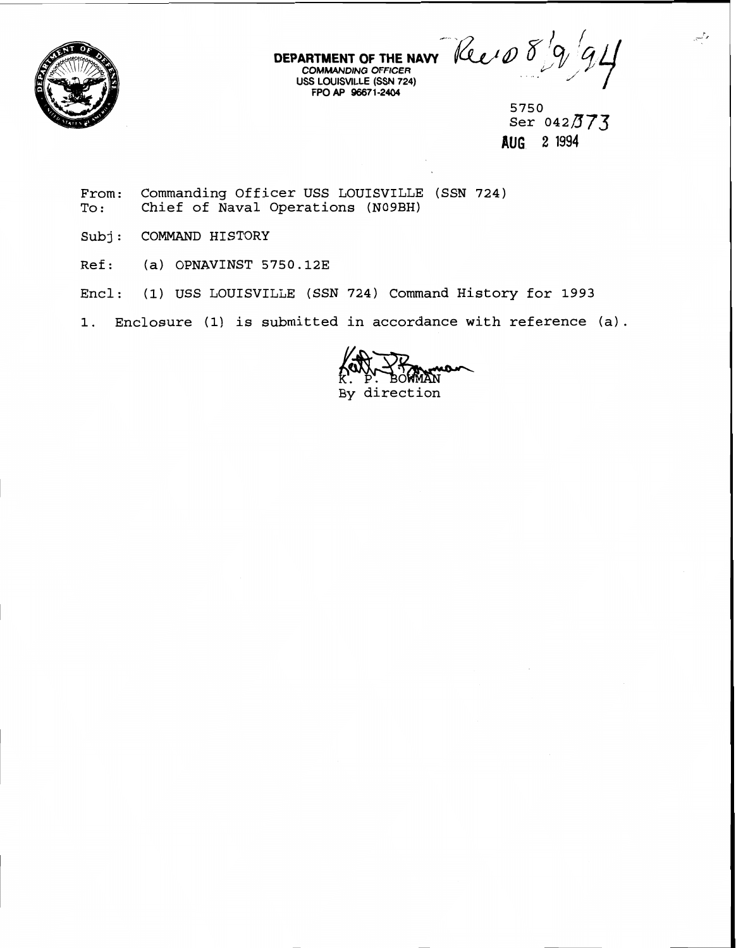

**DEPARTMENT OF THE NAW** 

**COMMANDING** *OFFICER*  **USS LOUISVILLE (SSN 724)** . .. **FPO AP m71-2404** " /

**5750**   $S$ er 042 $373$ **AUG 2** 1994

وللمس

**From: Commanding Officer USS LOUISVILLE (SSN 724) To** : **Chief of Naval Operations (N09BH)** 

- **Subj** : **COMMAND HISTORY**
- **Ref: (a) OPNAVINST 5750.123**
- **Encl: (1) USS LOUISVILLE (SSN 724) Command History for 1993**

**1. Enclosure (1) is submitted in accordance with reference (a).** 

**By direction**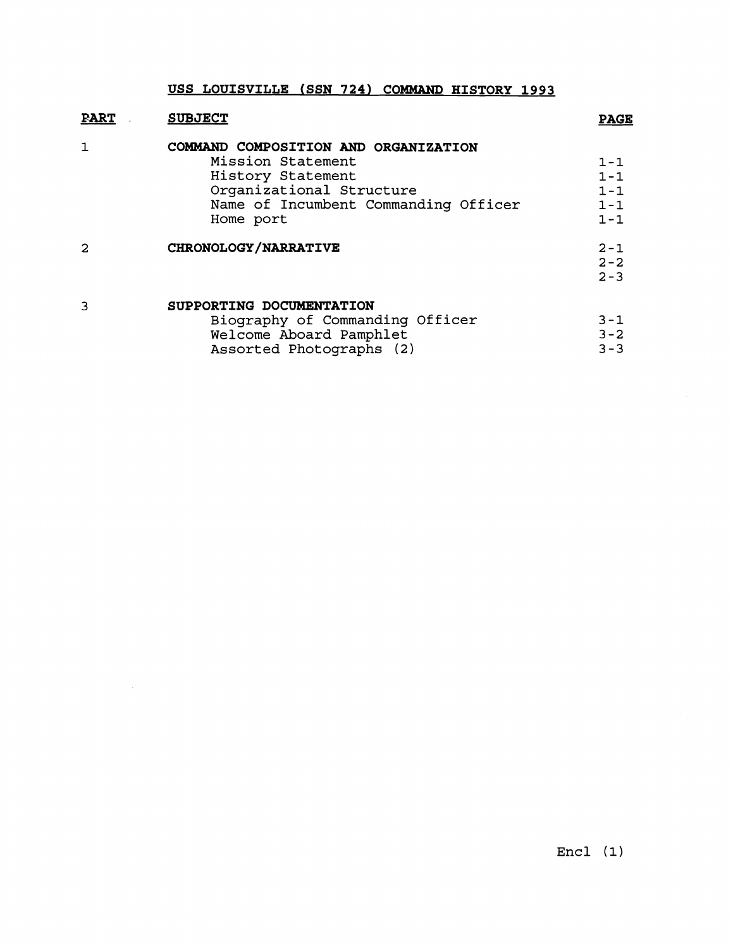| <b>FART</b> | <b>SUBJECT</b>                                                                                                                                                  | <b>PAGE</b>                                         |
|-------------|-----------------------------------------------------------------------------------------------------------------------------------------------------------------|-----------------------------------------------------|
| 1           | COMMAND COMPOSITION AND ORGANIZATION<br>Mission Statement<br>History Statement<br>Organizational Structure<br>Name of Incumbent Commanding Officer<br>Home port | $1 - 1$<br>$1 - 1$<br>$1 - 1$<br>$1 - 1$<br>$1 - 1$ |
| 2           | CHRONOLOGY/NARRATIVE                                                                                                                                            | $2 - 1$<br>$2 - 2$<br>$2 - 3$                       |
| 3           | SUPPORTING DOCUMENTATION<br>Biography of Commanding Officer<br>Welcome Aboard Pamphlet<br>Assorted Photographs (2)                                              | $3 - 1$<br>$3 - 2$<br>$3 - 3$                       |

 $\sim 10^7$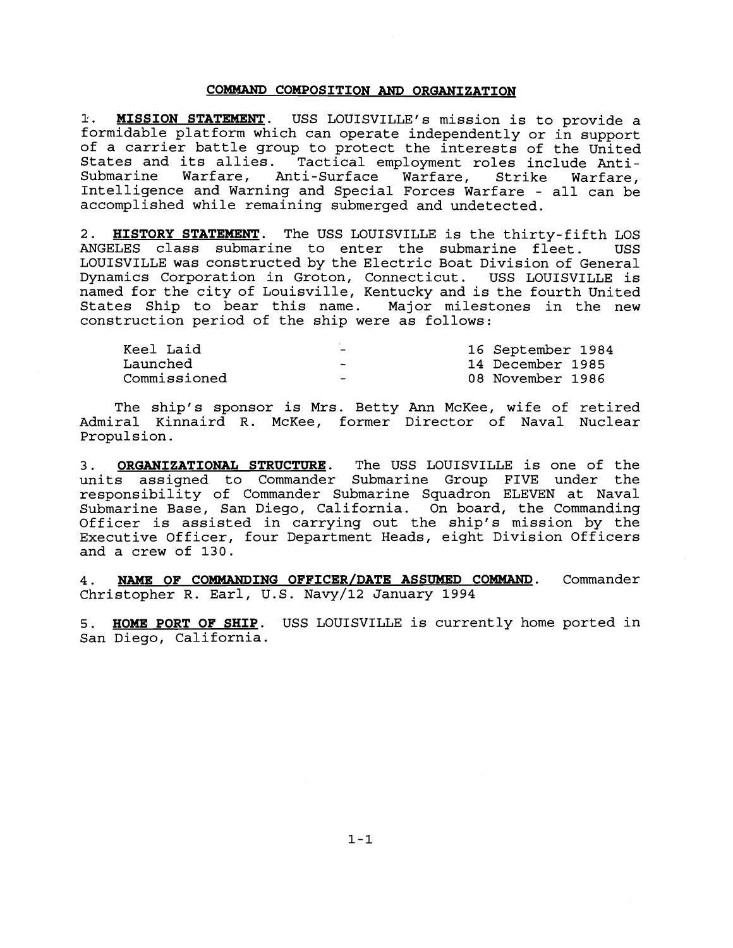## **COMMAND COMPOSITION AND ORGANIZATION**

**I. MISSION STATEMENT.** USS LOUISVILLE'S mission is to provide a formidable platform which can operate independently or in support of a carrier battle group to protect the interests of the United States and its allies. Tactical employment roles include Anti-Warfare, Anti-Surface Warfare, Strike Warfare, Intelligence and Warning and Special Forces Warfare - all can be accomplished while remaining submerged and undetected.

2. **HISTORY STATEMENT.** The USS LOUISVILLE is the thirty-fifth LOS ANGELES class submarine to enter the submarine fleet. USS LOUISVILLE was constructed by the Electric Boat Division of General Dynamics Corporation in Groton, Connecticut. USS LOUISVILLE is named for the city of Louisville, Kentucky and is the fourth United States Ship to bear this name. Major milestones in the new construction period of the ship were as follows:

| Keel Laid    | $\overline{\phantom{a}}$ | 16 September 1984 |
|--------------|--------------------------|-------------------|
| Launched     | -                        | 14 December 1985  |
| Commissioned | -                        | 08 November 1986  |

The ship's sponsor is Mrs. Betty Ann McKee, wife of retired Admiral Kinnaird R. McKee, former Director of Naval Nuclear Propulsion.

**3. ORGANIZATIONAL STRUCTURE.** The USS LOUISVILLE is one of the units assigned to Commander Submarine Group FIVE under the responsibility of Commander Submarine Squadron ELEVEN at Naval Submarine Base, San Diego, California. On board, the Commanding Officer is assisted in carrying out the ship's mission by the Executive Officer, four Department Heads, eight Division Officers and a crew of **130.** 

**4. NAME OF COMMANDING OFFICER/DATE ASSUMED COMMAND.** Commander Christopher **R.** Earl, U.S. Navy/l2 January **1994** 

**5. HOME PORT OF SHIP.** USS LOUISVILLE is currently home ported in San Diego, California.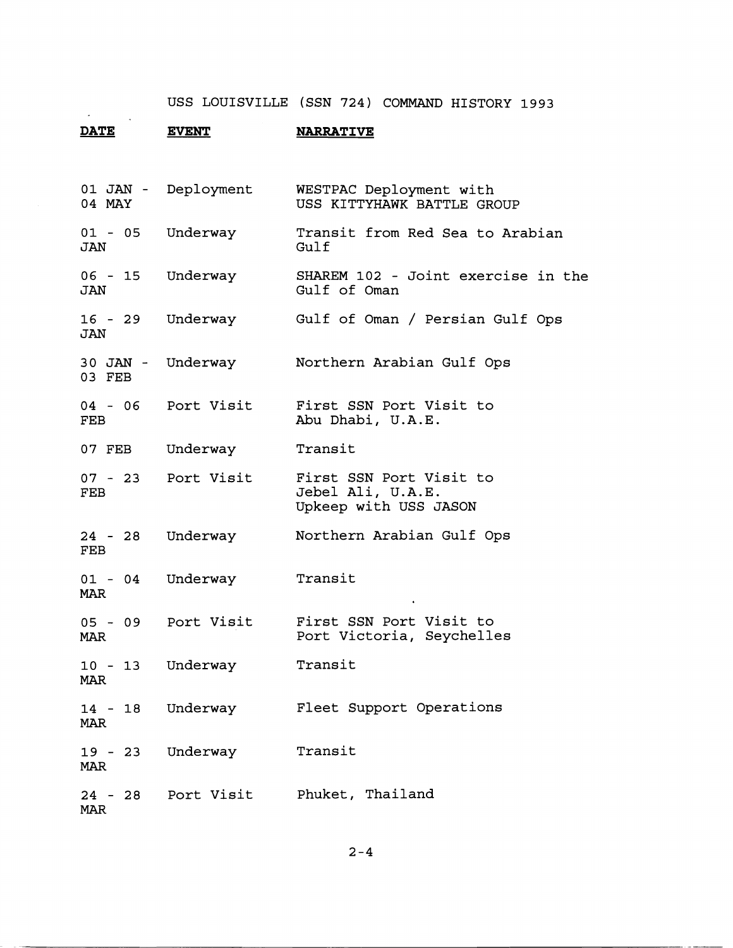## **DATE** EVENT NARRATIVE

 $\sim$ 

| 04 MAY                      | 01 JAN - Deployment | WESTPAC Deployment with<br>USS KITTYHAWK BATTLE GROUP                 |
|-----------------------------|---------------------|-----------------------------------------------------------------------|
| 01 - 05 Underway<br>JAN     |                     | Transit from Red Sea to Arabian<br>Gulf                               |
| 06 - 15 Underway<br>JAN     |                     | SHAREM 102 - Joint exercise in the<br>Gulf of Oman                    |
| $16 - 29$<br>JAN            | Underway            | Gulf of Oman / Persian Gulf Ops                                       |
| 30 JAN - Underway<br>03 FEB |                     | Northern Arabian Gulf Ops                                             |
| FEB                         | 04 - 06 Port Visit  | First SSN Port Visit to<br>Abu Dhabi, U.A.E.                          |
| 07 FEB                      | Underway            | Transit                                                               |
| FEB                         | 07 - 23 Port Visit  | First SSN Port Visit to<br>Jebel Ali, U.A.E.<br>Upkeep with USS JASON |
| 24 - 28<br>FEB              | Underway            | Northern Arabian Gulf Ops                                             |
| 01 - 04 Underway<br>MAR     |                     | Transit                                                               |
| MAR                         | 05 - 09 Port Visit  | First SSN Port Visit to<br>Port Victoria, Seychelles                  |
| 10 - 13 Underway<br>MAR     |                     | Transit                                                               |
| $14 - 18$<br><b>MAR</b>     | Underway            | Fleet Support Operations                                              |
| <b>MAR</b>                  | 19 - 23 Underway    | Transit                                                               |
| <b>MAR</b>                  |                     | 24 - 28 Port Visit Phuket, Thailand                                   |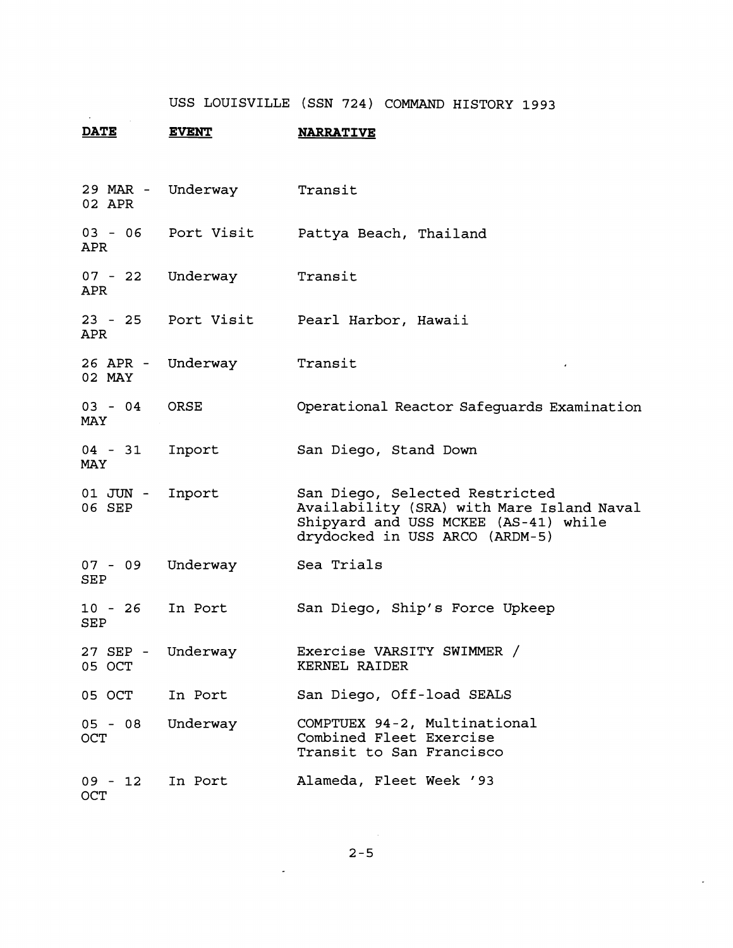**DATE** EVENT NARRATIVE

| 29 MAR -<br>02 APR      | Underway   | Transit                                                                                                                                               |
|-------------------------|------------|-------------------------------------------------------------------------------------------------------------------------------------------------------|
| $03 - 06$<br>APR        | Port Visit | Pattya Beach, Thailand                                                                                                                                |
| $07 - 22$<br>APR        | Underway   | Transit                                                                                                                                               |
| $23 - 25$<br>APR.       | Port Visit | Pearl Harbor, Hawaii                                                                                                                                  |
| 26 APR -<br>02 MAY      | Underway   | Transit                                                                                                                                               |
| $03 - 04$<br>MAY        | ORSE       | Operational Reactor Safeguards Examination                                                                                                            |
| $04 - 31$<br>MAY        | Inport     | San Diego, Stand Down                                                                                                                                 |
| 01 JUN -<br>06 SEP      | Inport     | San Diego, Selected Restricted<br>Availability (SRA) with Mare Island Naval<br>Shipyard and USS MCKEE (AS-41) while<br>drydocked in USS ARCO (ARDM-5) |
| $07 - 09$<br>SEP        | Underway   | Sea Trials                                                                                                                                            |
| $10 - 26$<br>SEP        | In Port    | San Diego, Ship's Force Upkeep                                                                                                                        |
| 27 SEP -<br>05 OCT      | Underway   | Exercise VARSITY SWIMMER /<br>KERNEL RAIDER                                                                                                           |
| 05 OCT                  | In Port    | San Diego, Off-load SEALS                                                                                                                             |
| $05 - 08$<br>OCT        | Underway   | COMPTUEX 94-2, Multinational<br>Combined Fleet Exercise<br>Transit to San Francisco                                                                   |
| $09 - 12$<br><b>OCT</b> | In Port    | Alameda, Fleet Week '93                                                                                                                               |

 $\mathbf{r}$ 

 $\sim$